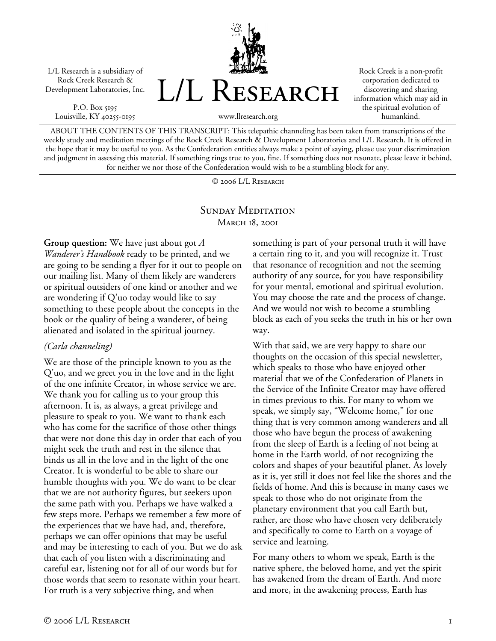L/L Research is a subsidiary of Rock Creek Research & Development Laboratories, Inc.

P.O. Box 5195 Louisville, KY 40255-0195



Rock Creek is a non-profit corporation dedicated to discovering and sharing information which may aid in the spiritual evolution of humankind.

ABOUT THE CONTENTS OF THIS TRANSCRIPT: This telepathic channeling has been taken from transcriptions of the weekly study and meditation meetings of the Rock Creek Research & Development Laboratories and L/L Research. It is offered in the hope that it may be useful to you. As the Confederation entities always make a point of saying, please use your discrimination and judgment in assessing this material. If something rings true to you, fine. If something does not resonate, please leave it behind, for neither we nor those of the Confederation would wish to be a stumbling block for any.

© 2006 L/L Research

## SUNDAY MEDITATION **MARCH 18, 2001**

**Group question:** We have just about got *A Wanderer's Handbook* ready to be printed, and we are going to be sending a flyer for it out to people on our mailing list. Many of them likely are wanderers or spiritual outsiders of one kind or another and we are wondering if Q'uo today would like to say something to these people about the concepts in the book or the quality of being a wanderer, of being alienated and isolated in the spiritual journey.

## *(Carla channeling)*

We are those of the principle known to you as the Q'uo, and we greet you in the love and in the light of the one infinite Creator, in whose service we are. We thank you for calling us to your group this afternoon. It is, as always, a great privilege and pleasure to speak to you. We want to thank each who has come for the sacrifice of those other things that were not done this day in order that each of you might seek the truth and rest in the silence that binds us all in the love and in the light of the one Creator. It is wonderful to be able to share our humble thoughts with you. We do want to be clear that we are not authority figures, but seekers upon the same path with you. Perhaps we have walked a few steps more. Perhaps we remember a few more of the experiences that we have had, and, therefore, perhaps we can offer opinions that may be useful and may be interesting to each of you. But we do ask that each of you listen with a discriminating and careful ear, listening not for all of our words but for those words that seem to resonate within your heart. For truth is a very subjective thing, and when

something is part of your personal truth it will have a certain ring to it, and you will recognize it. Trust that resonance of recognition and not the seeming authority of any source, for you have responsibility for your mental, emotional and spiritual evolution. You may choose the rate and the process of change. And we would not wish to become a stumbling block as each of you seeks the truth in his or her own way.

With that said, we are very happy to share our thoughts on the occasion of this special newsletter, which speaks to those who have enjoyed other material that we of the Confederation of Planets in the Service of the Infinite Creator may have offered in times previous to this. For many to whom we speak, we simply say, "Welcome home," for one thing that is very common among wanderers and all those who have begun the process of awakening from the sleep of Earth is a feeling of not being at home in the Earth world, of not recognizing the colors and shapes of your beautiful planet. As lovely as it is, yet still it does not feel like the shores and the fields of home. And this is because in many cases we speak to those who do not originate from the planetary environment that you call Earth but, rather, are those who have chosen very deliberately and specifically to come to Earth on a voyage of service and learning.

For many others to whom we speak, Earth is the native sphere, the beloved home, and yet the spirit has awakened from the dream of Earth. And more and more, in the awakening process, Earth has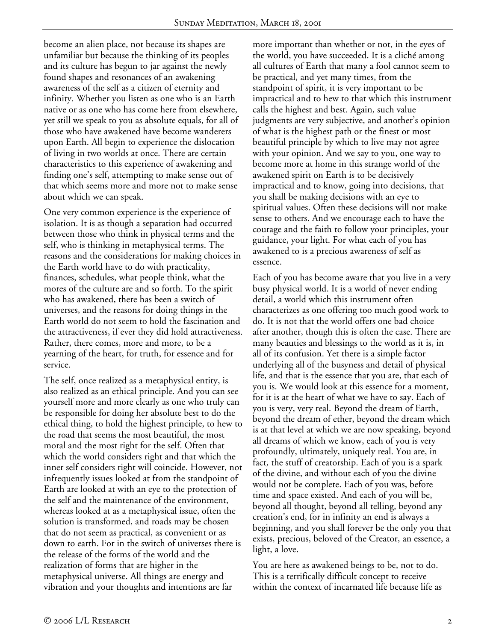become an alien place, not because its shapes are unfamiliar but because the thinking of its peoples and its culture has begun to jar against the newly found shapes and resonances of an awakening awareness of the self as a citizen of eternity and infinity. Whether you listen as one who is an Earth native or as one who has come here from elsewhere, yet still we speak to you as absolute equals, for all of those who have awakened have become wanderers upon Earth. All begin to experience the dislocation of living in two worlds at once. There are certain characteristics to this experience of awakening and finding one's self, attempting to make sense out of that which seems more and more not to make sense about which we can speak.

One very common experience is the experience of isolation. It is as though a separation had occurred between those who think in physical terms and the self, who is thinking in metaphysical terms. The reasons and the considerations for making choices in the Earth world have to do with practicality, finances, schedules, what people think, what the mores of the culture are and so forth. To the spirit who has awakened, there has been a switch of universes, and the reasons for doing things in the Earth world do not seem to hold the fascination and the attractiveness, if ever they did hold attractiveness. Rather, there comes, more and more, to be a yearning of the heart, for truth, for essence and for service.

The self, once realized as a metaphysical entity, is also realized as an ethical principle. And you can see yourself more and more clearly as one who truly can be responsible for doing her absolute best to do the ethical thing, to hold the highest principle, to hew to the road that seems the most beautiful, the most moral and the most right for the self. Often that which the world considers right and that which the inner self considers right will coincide. However, not infrequently issues looked at from the standpoint of Earth are looked at with an eye to the protection of the self and the maintenance of the environment, whereas looked at as a metaphysical issue, often the solution is transformed, and roads may be chosen that do not seem as practical, as convenient or as down to earth. For in the switch of universes there is the release of the forms of the world and the realization of forms that are higher in the metaphysical universe. All things are energy and vibration and your thoughts and intentions are far

more important than whether or not, in the eyes of the world, you have succeeded. It is a cliché among all cultures of Earth that many a fool cannot seem to be practical, and yet many times, from the standpoint of spirit, it is very important to be impractical and to hew to that which this instrument calls the highest and best. Again, such value judgments are very subjective, and another's opinion of what is the highest path or the finest or most beautiful principle by which to live may not agree with your opinion. And we say to you, one way to become more at home in this strange world of the awakened spirit on Earth is to be decisively impractical and to know, going into decisions, that you shall be making decisions with an eye to spiritual values. Often these decisions will not make sense to others. And we encourage each to have the courage and the faith to follow your principles, your guidance, your light. For what each of you has awakened to is a precious awareness of self as essence.

Each of you has become aware that you live in a very busy physical world. It is a world of never ending detail, a world which this instrument often characterizes as one offering too much good work to do. It is not that the world offers one bad choice after another, though this is often the case. There are many beauties and blessings to the world as it is, in all of its confusion. Yet there is a simple factor underlying all of the busyness and detail of physical life, and that is the essence that you are, that each of you is. We would look at this essence for a moment, for it is at the heart of what we have to say. Each of you is very, very real. Beyond the dream of Earth, beyond the dream of ether, beyond the dream which is at that level at which we are now speaking, beyond all dreams of which we know, each of you is very profoundly, ultimately, uniquely real. You are, in fact, the stuff of creatorship. Each of you is a spark of the divine, and without each of you the divine would not be complete. Each of you was, before time and space existed. And each of you will be, beyond all thought, beyond all telling, beyond any creation's end, for in infinity an end is always a beginning, and you shall forever be the only you that exists, precious, beloved of the Creator, an essence, a light, a love.

You are here as awakened beings to be, not to do. This is a terrifically difficult concept to receive within the context of incarnated life because life as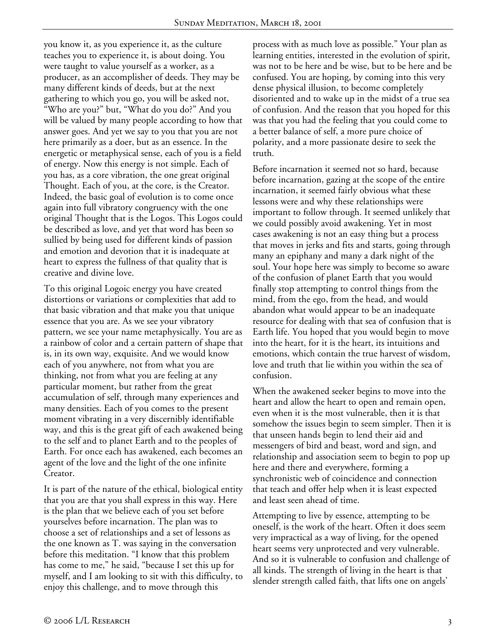you know it, as you experience it, as the culture teaches you to experience it, is about doing. You were taught to value yourself as a worker, as a producer, as an accomplisher of deeds. They may be many different kinds of deeds, but at the next gathering to which you go, you will be asked not, "Who are you?" but, "What do you do?" And you will be valued by many people according to how that answer goes. And yet we say to you that you are not here primarily as a doer, but as an essence. In the energetic or metaphysical sense, each of you is a field of energy. Now this energy is not simple. Each of you has, as a core vibration, the one great original Thought. Each of you, at the core, is the Creator. Indeed, the basic goal of evolution is to come once again into full vibratory congruency with the one original Thought that is the Logos. This Logos could be described as love, and yet that word has been so sullied by being used for different kinds of passion and emotion and devotion that it is inadequate at heart to express the fullness of that quality that is creative and divine love.

To this original Logoic energy you have created distortions or variations or complexities that add to that basic vibration and that make you that unique essence that you are. As we see your vibratory pattern, we see your name metaphysically. You are as a rainbow of color and a certain pattern of shape that is, in its own way, exquisite. And we would know each of you anywhere, not from what you are thinking, not from what you are feeling at any particular moment, but rather from the great accumulation of self, through many experiences and many densities. Each of you comes to the present moment vibrating in a very discernibly identifiable way, and this is the great gift of each awakened being to the self and to planet Earth and to the peoples of Earth. For once each has awakened, each becomes an agent of the love and the light of the one infinite Creator.

It is part of the nature of the ethical, biological entity that you are that you shall express in this way. Here is the plan that we believe each of you set before yourselves before incarnation. The plan was to choose a set of relationships and a set of lessons as the one known as T. was saying in the conversation before this meditation. "I know that this problem has come to me," he said, "because I set this up for myself, and I am looking to sit with this difficulty, to enjoy this challenge, and to move through this

process with as much love as possible." Your plan as learning entities, interested in the evolution of spirit, was not to be here and be wise, but to be here and be confused. You are hoping, by coming into this very dense physical illusion, to become completely disoriented and to wake up in the midst of a true sea of confusion. And the reason that you hoped for this was that you had the feeling that you could come to a better balance of self, a more pure choice of polarity, and a more passionate desire to seek the truth.

Before incarnation it seemed not so hard, because before incarnation, gazing at the scope of the entire incarnation, it seemed fairly obvious what these lessons were and why these relationships were important to follow through. It seemed unlikely that we could possibly avoid awakening. Yet in most cases awakening is not an easy thing but a process that moves in jerks and fits and starts, going through many an epiphany and many a dark night of the soul. Your hope here was simply to become so aware of the confusion of planet Earth that you would finally stop attempting to control things from the mind, from the ego, from the head, and would abandon what would appear to be an inadequate resource for dealing with that sea of confusion that is Earth life. You hoped that you would begin to move into the heart, for it is the heart, its intuitions and emotions, which contain the true harvest of wisdom, love and truth that lie within you within the sea of confusion.

When the awakened seeker begins to move into the heart and allow the heart to open and remain open, even when it is the most vulnerable, then it is that somehow the issues begin to seem simpler. Then it is that unseen hands begin to lend their aid and messengers of bird and beast, word and sign, and relationship and association seem to begin to pop up here and there and everywhere, forming a synchronistic web of coincidence and connection that teach and offer help when it is least expected and least seen ahead of time.

Attempting to live by essence, attempting to be oneself, is the work of the heart. Often it does seem very impractical as a way of living, for the opened heart seems very unprotected and very vulnerable. And so it is vulnerable to confusion and challenge of all kinds. The strength of living in the heart is that slender strength called faith, that lifts one on angels'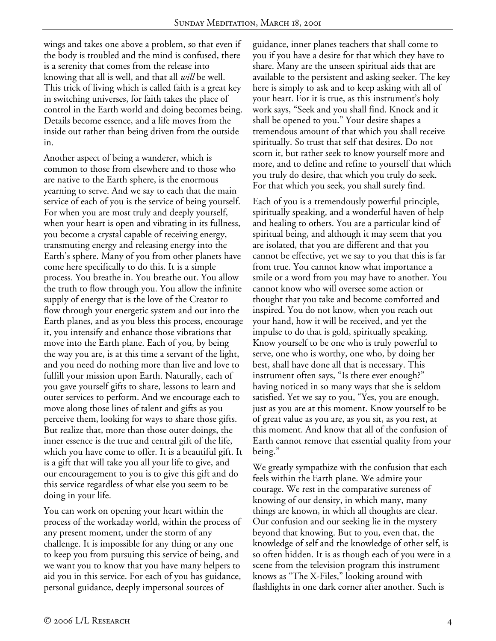wings and takes one above a problem, so that even if the body is troubled and the mind is confused, there is a serenity that comes from the release into knowing that all is well, and that all *will* be well. This trick of living which is called faith is a great key in switching universes, for faith takes the place of control in the Earth world and doing becomes being. Details become essence, and a life moves from the inside out rather than being driven from the outside in.

Another aspect of being a wanderer, which is common to those from elsewhere and to those who are native to the Earth sphere, is the enormous yearning to serve. And we say to each that the main service of each of you is the service of being yourself. For when you are most truly and deeply yourself, when your heart is open and vibrating in its fullness, you become a crystal capable of receiving energy, transmuting energy and releasing energy into the Earth's sphere. Many of you from other planets have come here specifically to do this. It is a simple process. You breathe in. You breathe out. You allow the truth to flow through you. You allow the infinite supply of energy that is the love of the Creator to flow through your energetic system and out into the Earth planes, and as you bless this process, encourage it, you intensify and enhance those vibrations that move into the Earth plane. Each of you, by being the way you are, is at this time a servant of the light, and you need do nothing more than live and love to fulfill your mission upon Earth. Naturally, each of you gave yourself gifts to share, lessons to learn and outer services to perform. And we encourage each to move along those lines of talent and gifts as you perceive them, looking for ways to share those gifts. But realize that, more than those outer doings, the inner essence is the true and central gift of the life, which you have come to offer. It is a beautiful gift. It is a gift that will take you all your life to give, and our encouragement to you is to give this gift and do this service regardless of what else you seem to be doing in your life.

You can work on opening your heart within the process of the workaday world, within the process of any present moment, under the storm of any challenge. It is impossible for any thing or any one to keep you from pursuing this service of being, and we want you to know that you have many helpers to aid you in this service. For each of you has guidance, personal guidance, deeply impersonal sources of

guidance, inner planes teachers that shall come to you if you have a desire for that which they have to share. Many are the unseen spiritual aids that are available to the persistent and asking seeker. The key here is simply to ask and to keep asking with all of your heart. For it is true, as this instrument's holy work says, "Seek and you shall find. Knock and it shall be opened to you." Your desire shapes a tremendous amount of that which you shall receive spiritually. So trust that self that desires. Do not scorn it, but rather seek to know yourself more and more, and to define and refine to yourself that which you truly do desire, that which you truly do seek. For that which you seek, you shall surely find.

Each of you is a tremendously powerful principle, spiritually speaking, and a wonderful haven of help and healing to others. You are a particular kind of spiritual being, and although it may seem that you are isolated, that you are different and that you cannot be effective, yet we say to you that this is far from true. You cannot know what importance a smile or a word from you may have to another. You cannot know who will oversee some action or thought that you take and become comforted and inspired. You do not know, when you reach out your hand, how it will be received, and yet the impulse to do that is gold, spiritually speaking. Know yourself to be one who is truly powerful to serve, one who is worthy, one who, by doing her best, shall have done all that is necessary. This instrument often says, "Is there ever enough?" having noticed in so many ways that she is seldom satisfied. Yet we say to you, "Yes, you are enough, just as you are at this moment. Know yourself to be of great value as you are, as you sit, as you rest, at this moment. And know that all of the confusion of Earth cannot remove that essential quality from your being."

We greatly sympathize with the confusion that each feels within the Earth plane. We admire your courage. We rest in the comparative sureness of knowing of our density, in which many, many things are known, in which all thoughts are clear. Our confusion and our seeking lie in the mystery beyond that knowing. But to you, even that, the knowledge of self and the knowledge of other self, is so often hidden. It is as though each of you were in a scene from the television program this instrument knows as "The X-Files," looking around with flashlights in one dark corner after another. Such is